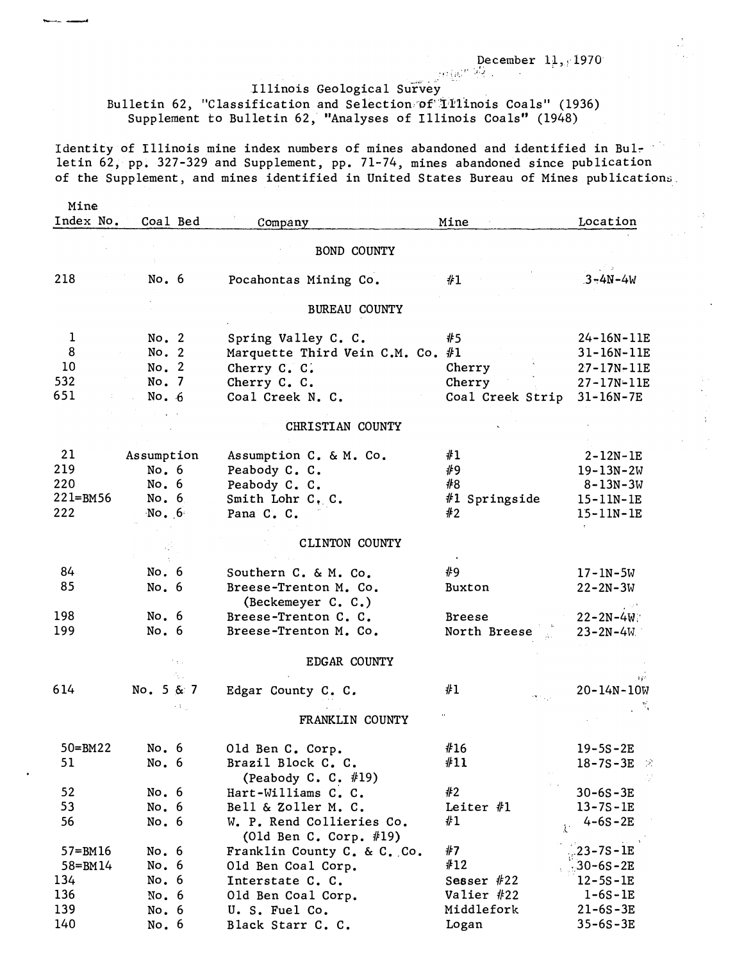December  $11, 1970$ 

## becembe<br>Illinois Geological Survey

Bulletin 62, "Classification and Selection of Illinois Coals" (1936) Supplement to Bulletin 62, "Analyses of Illinois Coals" (1948)

 $-$ 

Identity of Illinois mine index numbers of mines abandoned and identified in Bulletin 62, pp. 327-329 and Supplement, pp. 71-74, mines abandoned since publication of the Supplement, and mines identified in United States Bureau of Mines publications.

| Mine        |                 |                                             |                  |                  |
|-------------|-----------------|---------------------------------------------|------------------|------------------|
| Index No.   | Coal Bed        | Company                                     | Mine             | Location         |
|             |                 |                                             |                  |                  |
|             |                 | <b>BOND COUNTY</b>                          |                  |                  |
| 218         | No. $6$         | Pocahontas Mining Co.                       | #1               | $3 - 4N - 4W$    |
|             |                 | <b>BUREAU COUNTY</b>                        |                  |                  |
| $\mathbf 1$ | No. 2           | Spring Valley C. C.                         | #5               | 24-16N-11E       |
| 8           | No. 2           | Marquette Third Vein C.M. Co. $#1$          |                  | 31-16N-11E       |
| 10          | No. 2           | Cherry C. C.                                | Cherry           | $27 - 17N - 11E$ |
| 532         | No. 7           | Cherry C. C.                                | Cherry           | 27-17N-11E       |
| 651         | No. $6$         | Coal Creek N. C.                            | Coal Creek Strip | $31 - 16N - 7E$  |
|             |                 |                                             |                  |                  |
|             |                 | CHRISTIAN COUNTY                            |                  |                  |
| 21          | Assumption      | Assumption C. & M. Co.                      | #1               | $2 - 12N - 1E$   |
| 219         | No.6            | Peabody C. C.                               | #9               | $19 - 13N - 2W$  |
| 220         | No. 6           | Peabody C. C.                               | #8               | $8 - 13N - 3W$   |
| 221=BM56    | No. 6           | Smith Lohr C. C.                            | #1 Springside    | $15 - 11N - 1E$  |
| 222         | $\sqrt{N}$ o. 6 | Pana C. C.                                  | #2               | $15 - 11N - 1E$  |
|             |                 |                                             |                  |                  |
|             |                 | <b>CLINTON COUNTY</b>                       |                  |                  |
|             |                 |                                             |                  |                  |
| 84          | No. 6           | Southern C. & M. Co.                        | ∦9               | $17 - 1N - 5W$   |
| 85          | No.6            | Breese-Trenton M. Co.<br>(Beckemeyer C. C.) | Buxton           | $22 - 2N - 3W$   |
| 198         | No.6            | Breese-Trenton C. C.                        | Breese           | $22 - 2N - 4W$   |
| 199         | No. 6           | Breese-Trenton M. Co.                       | North Breese     | $23 - 2N - 4W$   |
|             |                 | EDGAR COUNTY                                |                  |                  |
|             |                 |                                             |                  |                  |
| 614         | No. 5 & 7       | Edgar County C. C.                          | #1<br>extends.   | $20 - 14N - 10W$ |
|             |                 | FRANKLIN COUNTY                             |                  |                  |
| $50 = BM22$ | No. 6           | Old Ben C. Corp.                            | #16              | $19 - 5S - 2E$   |
| 51          | No. 6           | Brazil Block C. C.                          | #11              | 18-7S-3E $\ge$   |
|             |                 | (Peabody C. C. $#19$ )                      |                  |                  |
| 52          | No. 6           | Hart-Williams C. C.                         | #2               | $30 - 6S - 3E$   |
| 53          | No.6            | Bell & Zoller M. C.                         | Leiter $#1$      | $13 - 7S - 1E$   |
| 56          | No.6            | W. P. Rend Collieries Co.                   | #1               | $4 - 6S - 2E$    |
|             |                 | (Old Ben C. Corp. $#19$ )                   | $\mathcal{X}$    |                  |
| 57=BM16     | No. 6           | Franklin County C. & C. Co.                 | #7               | $.23 - 7S - 1E$  |
| 58=BM14     | No. 6           | Old Ben Coal Corp.                          | #12              | $30 - 6S - 2E$   |
| 134         | No. 6           | Interstate C. C.                            | Sesser $#22$     | $12 - 5S - 1E$   |
| 136         | No.6            | Old Ben Coal Corp.                          | Valier #22       | $1 - 6S - 1E$    |
| 139         | No. $6$         | U. S. Fuel Co.                              | Middlefork       | $21 - 6S - 3E$   |
| 140         | No. 6           | Black Starr C. C.                           | Logan            | $35 - 6S - 3E$   |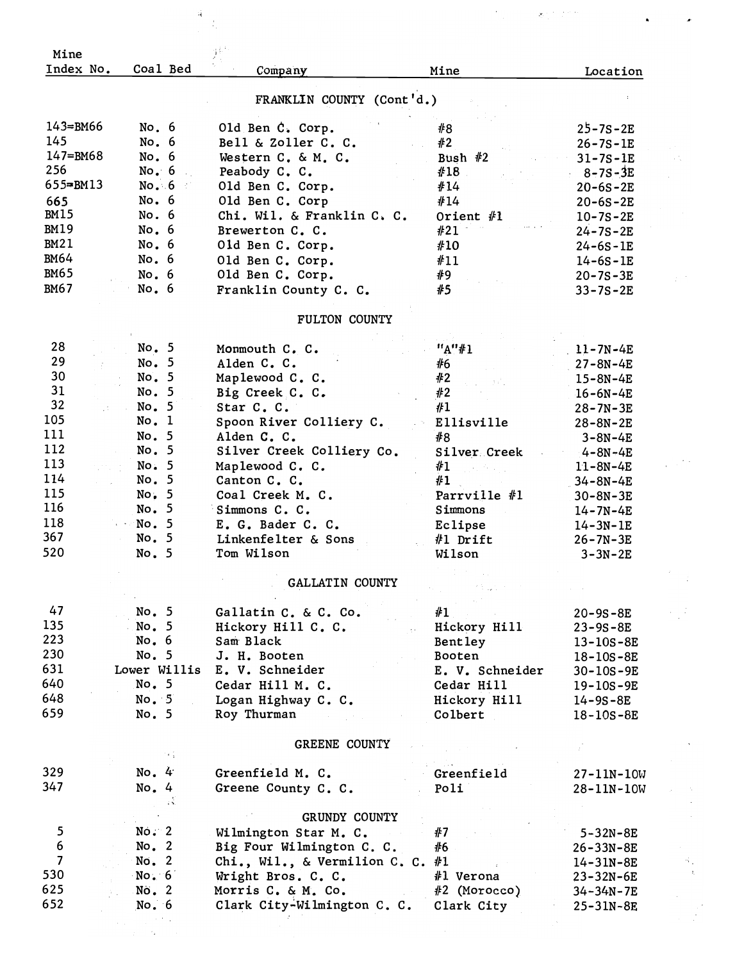| Mine                               |                       |                                                          |                               |                                   |
|------------------------------------|-----------------------|----------------------------------------------------------|-------------------------------|-----------------------------------|
| Index No.                          | Coal Bed              | Company                                                  | Mine                          | Location                          |
|                                    |                       | FRANKLIN COUNTY (Cont'd.)                                |                               |                                   |
| 143=BM66                           | No. 6                 | Old Ben C. Corp.                                         | #8                            | $25 - 7S - 2E$                    |
| 145                                | No. 6                 | Bell & Zoller C. C.                                      | #2                            | $26 - 7S - 1E$                    |
| 147=BM68                           | No. 6                 | Western C. & M. C.                                       | Bush $#2$                     | $31 - 7S - 1E$                    |
| 256<br>$655 = B M 13$              | No. $6$               | Peabody C. C.                                            | #18                           | $8 - 7S - 3E$                     |
| 665                                | No. 6<br>No. 6        | Old Ben C. Corp.                                         | #14                           | $20 - 6S - 2E$                    |
| BM15                               | No. 6                 | Old Ben C. Corp<br>Chi. Wil. & Franklin C. C.            | #14<br>Orient $#1$            | $20 - 6S - 2E$                    |
| <b>BM19</b>                        | No. 6                 | Brewerton C. C.                                          | #21                           | $10 - 7S - 2E$<br>$24 - 7S - 2E$  |
| <b>BM21</b>                        | No. 6                 | Old Ben C. Corp.                                         | #10                           | $24 - 6S - 1E$                    |
| <b>BM64</b>                        | No. 6                 | Old Ben C. Corp.                                         | #11                           | $14 - 6S - 1E$                    |
| <b>BM65</b>                        | No.6                  | Old Ben C. Corp.                                         | #9                            | $20 - 7S - 3E$                    |
| <b>BM67</b>                        | No.6                  | Franklin County C. C.                                    | #5                            | $33 - 7S - 2E$                    |
|                                    |                       | FULTON COUNTY                                            |                               |                                   |
|                                    |                       |                                                          |                               |                                   |
| 28<br>29                           | No. 5<br>No. 5        | Monmouth C. C.                                           | "A"#1                         | $11 - 7N - 4E$                    |
| 30                                 | No. 5                 | Alden C. C.<br>Maplewood C. C.                           | #6<br>#2                      | $27 - 8N - 4E$                    |
| 31                                 | No. 5                 | Big Creek C. C.                                          | #2                            | $15 - 8N - 4E$<br>$16 - 6N - 4E$  |
| 32                                 | No. 5                 | Star C. C.                                               | #1                            | $28 - 7N - 3E$                    |
| 105                                | No. 1                 | Spoon River Colliery C.                                  | Ellisville                    | $28 - 8N - 2E$                    |
| 111                                | No. 5                 | Alden C. C.                                              | #8                            | $3 - 8N - 4E$                     |
| 112                                | No. 5                 | Silver Creek Colliery Co.                                | Silver Creek                  | $4 - 8N - 4E$                     |
| 113                                | No. 5                 | Maplewood C. C.                                          | #1                            | $11 - 8N - 4E$                    |
| 114                                | No. 5                 | Canton C. C.                                             | #1                            | $34 - 8N - 4E$                    |
| 115<br>116                         | No, 5                 | Coal Creek M. C.                                         | Parrville #1                  | $30 - 8N - 3E$                    |
| 118                                | No. 5<br>No. 5        | Simmons C. C.<br>E. G. Bader C. C.                       | Simmons                       | $14 - 7N - 4E$                    |
| 367                                | No. 5                 | Linkenfelter & Sons                                      | Eclipse<br>#1 Drift           | $14 - 3N - 1E$                    |
| 520                                | No. 5                 | Tom Wilson                                               | Wilson                        | $26 - 7N - 3E$<br>$3 - 3N - 2E$   |
|                                    |                       |                                                          |                               |                                   |
|                                    |                       | GALLATIN COUNTY                                          |                               |                                   |
| 47                                 | No. 5                 | Gallatin C. & C. Co.                                     | #1                            | $20 - 9S - 8E$                    |
| 135                                | No. 5                 | Hickory Hill C. C.                                       | Hickory Hill                  | $23 - 9S - 8E$                    |
| 223                                | No. $6$               | Sam Black                                                | Bentley                       | $13 - 10S - 8E$                   |
| 230<br>631                         | No. 5<br>Lower Willis | J. H. Booten                                             | Booten                        | 18-10S-8E                         |
| 640                                | No. 5                 | E. V. Schneider<br>Cedar Hill M. C.                      | E. V. Schneider<br>Cedar Hill | $30 - 10S - 9E$                   |
| 648                                | No. 5                 | Logan Highway C. C.                                      | Hickory Hill                  | $19 - 10S - 9E$<br>$14 - 9S - 8E$ |
| 659                                | No. 5                 | Roy Thurman                                              | Colbert                       | $18 - 10S - 8E$                   |
|                                    |                       |                                                          |                               |                                   |
|                                    |                       | GREENE COUNTY                                            |                               |                                   |
| 329                                | No. 4                 | Greenfield M. C.                                         | Greenfield                    | $27 - 11N - 10W$                  |
| 347                                | No. 4                 | Greene County C. C.                                      | Poli                          | 28-11N-10W                        |
|                                    | зŘ.                   |                                                          |                               |                                   |
|                                    |                       | GRUNDY COUNTY                                            |                               |                                   |
| $\mathbf{5}$                       | No. 2                 | Wilmington Star M. C.                                    | #7                            | $5 - 32N - 8E$                    |
| $\boldsymbol{6}$<br>$\overline{7}$ | No. $2$               | Big Four Wilmington C. C.                                | #6                            | $26 - 33N - 8E$                   |
| 530                                | No. 2<br>No. 6        | Chi., Wil., & Vermilion C. C. $#1$<br>Wright Bros. C. C. | #1 Verona                     | 14-31N-8E                         |
| 625                                | No. 2                 | Morris C. & M. Co.                                       | $#2$ (Morocco)                | 23-32N-6E<br>34-34N-7E            |
| 652                                | No. 6                 | Clark City-Wilmington C. C.                              | Clark City                    | $25 - 31N - 8E$                   |
|                                    |                       |                                                          |                               |                                   |
|                                    |                       |                                                          |                               |                                   |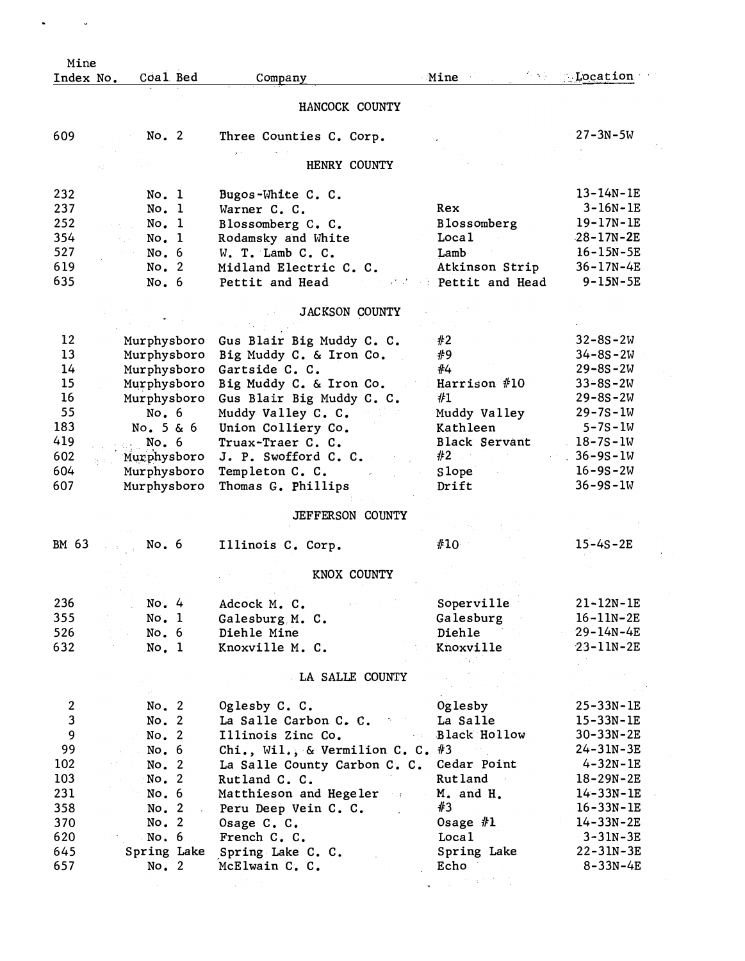| Mine                    |             |                                    |                      |                 |
|-------------------------|-------------|------------------------------------|----------------------|-----------------|
| Index No.               | Coal Bed    | Company                            | <b>Mine</b>          | $\sim$ Location |
|                         |             | HANCOCK COUNTY                     |                      |                 |
| 609                     | No. 2       | Three Counties C. Corp.            |                      | $27 - 3N - 5W$  |
|                         |             | HENRY COUNTY                       |                      |                 |
|                         |             |                                    |                      |                 |
| 232                     | No. 1       | Bugos-White C. C.                  |                      | $13 - 14N - 1E$ |
| 237                     | No. 1       | Warner C. C.                       | Rex                  | $3 - 16N - 1E$  |
| 252                     | No. 1       | Blossomberg C. C.                  | Blossomberg          | $19 - 17N - 1E$ |
| 354                     | No. 1       | Rodamsky and White                 | Local                | $28 - 17N - 2E$ |
| 527                     | No. 6       | W. T. Lamb C. C.                   | Lamb                 | $16 - 15N - 5E$ |
| 619                     | No. 2       | Midland Electric C. C.             | Atkinson Strip       | 36-17N-4E       |
| 635                     | No. 6       | Pettit and Head                    | Pettit and Head      | $9 - 15N - 5E$  |
|                         |             | <b>JACKSON COUNTY</b>              |                      |                 |
| 12                      | Murphysboro | Gus Blair Big Muddy C. C.          | #2                   | $32 - 8S - 2W$  |
| 13                      | Murphysboro | Big Muddy C. & Iron Co.            | #9                   | $34 - 8s - 2W$  |
| 14                      | Murphysboro | Gartside C. C.                     | #4                   | $29 - 8S - 2W$  |
| 15                      | Murphysboro | Big Muddy C. & Iron Co.            | Harrison #10         | $33 - 8S - 2W$  |
| 16                      | Murphysboro | Gus Blair Big Muddy C. C.          | #1                   | $29 - 8S - 2W$  |
| 55                      | No.6        | Muddy Valley C. C.                 | Muddy Valley         | $29 - 7S - 1W$  |
| 183                     | No. 5 & 6   | Union Colliery Co.                 | Kathleen             | $5 - 7S - 1W$   |
| 419                     | No. 6       |                                    | <b>Black Servant</b> | $18 - 7S - 1W$  |
|                         |             | Truax-Traer C. C.                  |                      |                 |
| 602                     | Murphysboro | J. P. Swofford C. C.               | #2                   | $36 - 9S - 1W$  |
| 604                     | Murphysboro | Templeton C. C.                    | Slope                | $16 - 9S - 2W$  |
| 607                     | Murphysboro | Thomas G. Phillips                 | Drift                | $36 - 9S - 1W$  |
|                         |             | <b>JEFFERSON COUNTY</b>            |                      |                 |
| BM 63                   | No. 6       | Illinois C. Corp.                  | #10                  | $15 - 4S - 2E$  |
|                         |             | KNOX COUNTY                        |                      |                 |
|                         |             |                                    |                      |                 |
| 236                     | No. 4       | Adcock M. C.                       | Soperville           | $21 - 12N - 1E$ |
| 355                     | No. 1       | Galesburg M. C.                    | Galesburg            | $16 - 11N - 2E$ |
| 526                     | No.6        | Diehle Mine                        | Diehle               | $29 - 14N - 4E$ |
| 632                     | No. 1       | Knoxville M. C.                    | Knoxville            | $23 - 11N - 2E$ |
|                         |             |                                    |                      |                 |
|                         |             | LA SALLE COUNTY                    |                      |                 |
| $\overline{\mathbf{c}}$ | No. 2       | Oglesby C. C.                      | Oglesby              | $25 - 33N - 1E$ |
| $\mathbf{3}$            | No. 2       | La Salle Carbon C. C.              | La Salle             | $15 - 33N - 1E$ |
| 9                       | No. 2       | Illinois Zinc Co.                  | Black Hollow         | $30 - 33N - 2E$ |
| 99                      | No. 6       |                                    | #3                   | $24 - 31N - 3E$ |
|                         |             | Chi., Wil., & Vermilion C. C.      |                      |                 |
| 102                     | No. 2       | La Salle County Carbon C. C.       | Cedar Point          | $4 - 32N - 1E$  |
| 103                     | No. 2       | Rutland C. C.                      | Rut land             | $18 - 29N - 2E$ |
| 231                     | No. 6       | Matthieson and Hegeler<br>$\sim 3$ | M. and H.            | $14 - 33N - 1E$ |
| 358                     | No. 2       | Peru Deep Vein C. C.               | #3                   | $16 - 33N - 1E$ |
| 370                     | No. 2       | Osage C. C.                        | Osage $#1$           | $14 - 33N - 2E$ |
| 620                     | No.6        | French C. C.                       | Loca <sub>1</sub>    | $3 - 31N - 3E$  |
| 645                     | Spring Lake | Spring Lake C. C.                  | Spring Lake          | $22 - 31N - 3E$ |
| 657                     | No. 2       | McElwain C. C.                     | Echo                 | $8 - 33N - 4E$  |
|                         |             |                                    |                      |                 |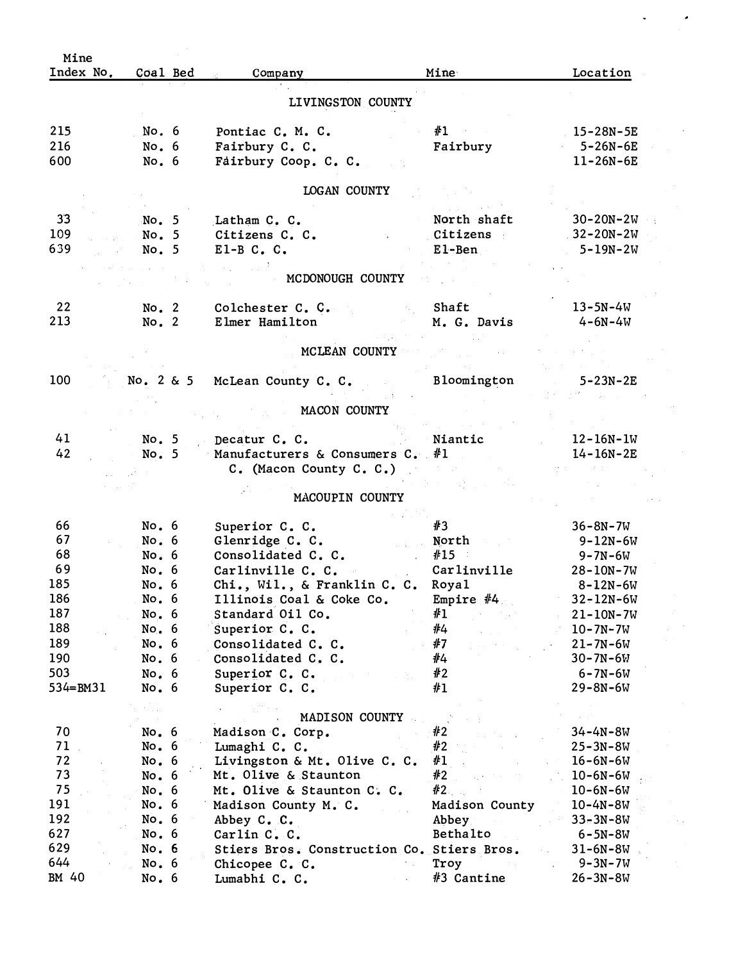| Index No.<br>Coal Bed<br>LIVINGSTON COUNTY<br>215<br>#1<br>$15 - 28N - 5E$<br>No. 6<br>Pontiac C. M. C.<br>216<br>Fairbury<br>$5 - 26N - 6E$<br>No. 6<br>Fairbury C. C.<br>600<br>Fairbury Coop. C. C.<br>$11 - 26N - 6E$<br>No. 6<br>LOGAN COUNTY<br>33<br>No. 5<br>North shaft<br>$30 - 20N - 2W$<br>Latham C. C.<br>$32 - 20N - 2W$<br>No. 5<br>Citizens C. C.<br>Citizens<br>$E1 - Ben$<br>$5 - 19N - 2W$<br>No. 5<br>$E1-B C. C.$<br>MCDONOUGH COUNTY<br>22<br>Shaft<br>$13 - 5N - 4W$<br>No. 2<br>Colchester C. C.<br>213<br>No. 2<br>Elmer Hamilton<br>M. G. Davis<br>$4 - 6N - 4W$<br>MCLEAN COUNTY<br>100<br>No. 2 & 5 McLean County C. C.<br>Bloomington<br>5-23N-2E<br>MACON COUNTY<br>41<br>Niantic<br>No. 5<br>$12 - 16N - 1W$<br>Decatur C. C.<br>42<br>Manufacturers & Consumers C. $#1$<br>No. 5<br>$14 - 16N - 2E$<br>C. (Macon County C. C.)<br>MACOUPIN COUNTY<br>No. 6<br>#3<br>66<br>Superior C. C.<br>$36 - 8N - 7W$<br>67<br>No. 6<br>Glenridge C. C.<br>North<br>$9 - 12N - 6W$<br>State Card<br>68<br>No. 6<br>Consolidated C. C.<br>#15<br>9–7N–6W<br>69<br>No. 6<br>Carlinville C. C.<br>Carlinville<br>$28 - 10N - 7W$<br>185<br>No. 6<br>Chi., Wil., & Franklin C. C. Royal<br>$8 - 12N - 6W$<br>186<br>Empire $#4$<br>Illinois Coal & Coke Co.<br>No. 6<br>$32 - 12N - 6W$<br>187<br>#1<br>Standard Oil Co.<br>No. 6<br>$21 - 10N - 7W$<br>#4<br>188<br>No. 6<br>Superior C. C.<br>$10 - 7N - 7W$<br>189<br>#7<br>No.6<br>Consolidated C. C.<br>$21 - 7N - 6W$<br>190<br>#4<br>No. 6<br>Consolidated C. C.<br>$30 - 7N - 6W$<br>503<br>#2<br>No.6<br>Superior C. C.<br>$6 - 7N - 6W$<br>534=BM31<br>#1<br>No.6<br>Superior C. C.<br>$29 - 8N - 6W$<br>MADISON COUNTY<br>70<br>No. 6<br>#2<br>$34 - 4N - 8W$<br>Madison C. Corp.<br>71<br>#2<br>No. 6<br>Lumaghi C. C.<br>$25 - 3N - 8W$<br>72<br>#1<br>No.6<br>Livingston & Mt. Olive C. C.<br>$16 - 6N - 6W$<br>73<br>#2<br>No.6<br>Mt. Olive & Staunton<br>$10 - 6N - 6W$<br>75<br>#2<br>No. 6<br>Mt. Olive & Staunton C. C.<br>$10 - 6N - 6W$<br>No. 6<br>Madison County<br>Madison County M. C.<br>$10 - 4N - 8W$<br>No. 6<br>Abbey.<br>Abbey C. C.<br>$33 - 3N - 8W$<br>No. 6<br>Bethalto<br>Carlin C. C.<br>$6 - 5N - 8W$<br>No. 6<br>Stiers Bros. Construction Co. Stiers Bros.<br>$31 - 6N - 8W$<br>No.6<br>Chicopee C. C.<br>Troy<br>$9 - 3N - 7W$<br>#3 Cantine<br>$26 - 3N - 8W$<br>No.6<br>Lumabhi C. C. | Mine  |  |         |      |          |
|----------------------------------------------------------------------------------------------------------------------------------------------------------------------------------------------------------------------------------------------------------------------------------------------------------------------------------------------------------------------------------------------------------------------------------------------------------------------------------------------------------------------------------------------------------------------------------------------------------------------------------------------------------------------------------------------------------------------------------------------------------------------------------------------------------------------------------------------------------------------------------------------------------------------------------------------------------------------------------------------------------------------------------------------------------------------------------------------------------------------------------------------------------------------------------------------------------------------------------------------------------------------------------------------------------------------------------------------------------------------------------------------------------------------------------------------------------------------------------------------------------------------------------------------------------------------------------------------------------------------------------------------------------------------------------------------------------------------------------------------------------------------------------------------------------------------------------------------------------------------------------------------------------------------------------------------------------------------------------------------------------------------------------------------------------------------------------------------------------------------------------------------------------------------------------------------------------------------------------------------------------------------------------------------------------------------------------------------------------------------------------------------------|-------|--|---------|------|----------|
|                                                                                                                                                                                                                                                                                                                                                                                                                                                                                                                                                                                                                                                                                                                                                                                                                                                                                                                                                                                                                                                                                                                                                                                                                                                                                                                                                                                                                                                                                                                                                                                                                                                                                                                                                                                                                                                                                                                                                                                                                                                                                                                                                                                                                                                                                                                                                                                                    |       |  | Company | Mine | Location |
|                                                                                                                                                                                                                                                                                                                                                                                                                                                                                                                                                                                                                                                                                                                                                                                                                                                                                                                                                                                                                                                                                                                                                                                                                                                                                                                                                                                                                                                                                                                                                                                                                                                                                                                                                                                                                                                                                                                                                                                                                                                                                                                                                                                                                                                                                                                                                                                                    |       |  |         |      |          |
|                                                                                                                                                                                                                                                                                                                                                                                                                                                                                                                                                                                                                                                                                                                                                                                                                                                                                                                                                                                                                                                                                                                                                                                                                                                                                                                                                                                                                                                                                                                                                                                                                                                                                                                                                                                                                                                                                                                                                                                                                                                                                                                                                                                                                                                                                                                                                                                                    |       |  |         |      |          |
|                                                                                                                                                                                                                                                                                                                                                                                                                                                                                                                                                                                                                                                                                                                                                                                                                                                                                                                                                                                                                                                                                                                                                                                                                                                                                                                                                                                                                                                                                                                                                                                                                                                                                                                                                                                                                                                                                                                                                                                                                                                                                                                                                                                                                                                                                                                                                                                                    |       |  |         |      |          |
|                                                                                                                                                                                                                                                                                                                                                                                                                                                                                                                                                                                                                                                                                                                                                                                                                                                                                                                                                                                                                                                                                                                                                                                                                                                                                                                                                                                                                                                                                                                                                                                                                                                                                                                                                                                                                                                                                                                                                                                                                                                                                                                                                                                                                                                                                                                                                                                                    |       |  |         |      |          |
|                                                                                                                                                                                                                                                                                                                                                                                                                                                                                                                                                                                                                                                                                                                                                                                                                                                                                                                                                                                                                                                                                                                                                                                                                                                                                                                                                                                                                                                                                                                                                                                                                                                                                                                                                                                                                                                                                                                                                                                                                                                                                                                                                                                                                                                                                                                                                                                                    |       |  |         |      |          |
|                                                                                                                                                                                                                                                                                                                                                                                                                                                                                                                                                                                                                                                                                                                                                                                                                                                                                                                                                                                                                                                                                                                                                                                                                                                                                                                                                                                                                                                                                                                                                                                                                                                                                                                                                                                                                                                                                                                                                                                                                                                                                                                                                                                                                                                                                                                                                                                                    |       |  |         |      |          |
|                                                                                                                                                                                                                                                                                                                                                                                                                                                                                                                                                                                                                                                                                                                                                                                                                                                                                                                                                                                                                                                                                                                                                                                                                                                                                                                                                                                                                                                                                                                                                                                                                                                                                                                                                                                                                                                                                                                                                                                                                                                                                                                                                                                                                                                                                                                                                                                                    |       |  |         |      |          |
|                                                                                                                                                                                                                                                                                                                                                                                                                                                                                                                                                                                                                                                                                                                                                                                                                                                                                                                                                                                                                                                                                                                                                                                                                                                                                                                                                                                                                                                                                                                                                                                                                                                                                                                                                                                                                                                                                                                                                                                                                                                                                                                                                                                                                                                                                                                                                                                                    | 109   |  |         |      |          |
|                                                                                                                                                                                                                                                                                                                                                                                                                                                                                                                                                                                                                                                                                                                                                                                                                                                                                                                                                                                                                                                                                                                                                                                                                                                                                                                                                                                                                                                                                                                                                                                                                                                                                                                                                                                                                                                                                                                                                                                                                                                                                                                                                                                                                                                                                                                                                                                                    | 639   |  |         |      |          |
|                                                                                                                                                                                                                                                                                                                                                                                                                                                                                                                                                                                                                                                                                                                                                                                                                                                                                                                                                                                                                                                                                                                                                                                                                                                                                                                                                                                                                                                                                                                                                                                                                                                                                                                                                                                                                                                                                                                                                                                                                                                                                                                                                                                                                                                                                                                                                                                                    |       |  |         |      |          |
|                                                                                                                                                                                                                                                                                                                                                                                                                                                                                                                                                                                                                                                                                                                                                                                                                                                                                                                                                                                                                                                                                                                                                                                                                                                                                                                                                                                                                                                                                                                                                                                                                                                                                                                                                                                                                                                                                                                                                                                                                                                                                                                                                                                                                                                                                                                                                                                                    |       |  |         |      |          |
|                                                                                                                                                                                                                                                                                                                                                                                                                                                                                                                                                                                                                                                                                                                                                                                                                                                                                                                                                                                                                                                                                                                                                                                                                                                                                                                                                                                                                                                                                                                                                                                                                                                                                                                                                                                                                                                                                                                                                                                                                                                                                                                                                                                                                                                                                                                                                                                                    |       |  |         |      |          |
|                                                                                                                                                                                                                                                                                                                                                                                                                                                                                                                                                                                                                                                                                                                                                                                                                                                                                                                                                                                                                                                                                                                                                                                                                                                                                                                                                                                                                                                                                                                                                                                                                                                                                                                                                                                                                                                                                                                                                                                                                                                                                                                                                                                                                                                                                                                                                                                                    |       |  |         |      |          |
|                                                                                                                                                                                                                                                                                                                                                                                                                                                                                                                                                                                                                                                                                                                                                                                                                                                                                                                                                                                                                                                                                                                                                                                                                                                                                                                                                                                                                                                                                                                                                                                                                                                                                                                                                                                                                                                                                                                                                                                                                                                                                                                                                                                                                                                                                                                                                                                                    |       |  |         |      |          |
|                                                                                                                                                                                                                                                                                                                                                                                                                                                                                                                                                                                                                                                                                                                                                                                                                                                                                                                                                                                                                                                                                                                                                                                                                                                                                                                                                                                                                                                                                                                                                                                                                                                                                                                                                                                                                                                                                                                                                                                                                                                                                                                                                                                                                                                                                                                                                                                                    |       |  |         |      |          |
|                                                                                                                                                                                                                                                                                                                                                                                                                                                                                                                                                                                                                                                                                                                                                                                                                                                                                                                                                                                                                                                                                                                                                                                                                                                                                                                                                                                                                                                                                                                                                                                                                                                                                                                                                                                                                                                                                                                                                                                                                                                                                                                                                                                                                                                                                                                                                                                                    |       |  |         |      |          |
|                                                                                                                                                                                                                                                                                                                                                                                                                                                                                                                                                                                                                                                                                                                                                                                                                                                                                                                                                                                                                                                                                                                                                                                                                                                                                                                                                                                                                                                                                                                                                                                                                                                                                                                                                                                                                                                                                                                                                                                                                                                                                                                                                                                                                                                                                                                                                                                                    |       |  |         |      |          |
|                                                                                                                                                                                                                                                                                                                                                                                                                                                                                                                                                                                                                                                                                                                                                                                                                                                                                                                                                                                                                                                                                                                                                                                                                                                                                                                                                                                                                                                                                                                                                                                                                                                                                                                                                                                                                                                                                                                                                                                                                                                                                                                                                                                                                                                                                                                                                                                                    |       |  |         |      |          |
|                                                                                                                                                                                                                                                                                                                                                                                                                                                                                                                                                                                                                                                                                                                                                                                                                                                                                                                                                                                                                                                                                                                                                                                                                                                                                                                                                                                                                                                                                                                                                                                                                                                                                                                                                                                                                                                                                                                                                                                                                                                                                                                                                                                                                                                                                                                                                                                                    |       |  |         |      |          |
|                                                                                                                                                                                                                                                                                                                                                                                                                                                                                                                                                                                                                                                                                                                                                                                                                                                                                                                                                                                                                                                                                                                                                                                                                                                                                                                                                                                                                                                                                                                                                                                                                                                                                                                                                                                                                                                                                                                                                                                                                                                                                                                                                                                                                                                                                                                                                                                                    |       |  |         |      |          |
|                                                                                                                                                                                                                                                                                                                                                                                                                                                                                                                                                                                                                                                                                                                                                                                                                                                                                                                                                                                                                                                                                                                                                                                                                                                                                                                                                                                                                                                                                                                                                                                                                                                                                                                                                                                                                                                                                                                                                                                                                                                                                                                                                                                                                                                                                                                                                                                                    |       |  |         |      |          |
|                                                                                                                                                                                                                                                                                                                                                                                                                                                                                                                                                                                                                                                                                                                                                                                                                                                                                                                                                                                                                                                                                                                                                                                                                                                                                                                                                                                                                                                                                                                                                                                                                                                                                                                                                                                                                                                                                                                                                                                                                                                                                                                                                                                                                                                                                                                                                                                                    |       |  |         |      |          |
|                                                                                                                                                                                                                                                                                                                                                                                                                                                                                                                                                                                                                                                                                                                                                                                                                                                                                                                                                                                                                                                                                                                                                                                                                                                                                                                                                                                                                                                                                                                                                                                                                                                                                                                                                                                                                                                                                                                                                                                                                                                                                                                                                                                                                                                                                                                                                                                                    |       |  |         |      |          |
|                                                                                                                                                                                                                                                                                                                                                                                                                                                                                                                                                                                                                                                                                                                                                                                                                                                                                                                                                                                                                                                                                                                                                                                                                                                                                                                                                                                                                                                                                                                                                                                                                                                                                                                                                                                                                                                                                                                                                                                                                                                                                                                                                                                                                                                                                                                                                                                                    |       |  |         |      |          |
|                                                                                                                                                                                                                                                                                                                                                                                                                                                                                                                                                                                                                                                                                                                                                                                                                                                                                                                                                                                                                                                                                                                                                                                                                                                                                                                                                                                                                                                                                                                                                                                                                                                                                                                                                                                                                                                                                                                                                                                                                                                                                                                                                                                                                                                                                                                                                                                                    |       |  |         |      |          |
|                                                                                                                                                                                                                                                                                                                                                                                                                                                                                                                                                                                                                                                                                                                                                                                                                                                                                                                                                                                                                                                                                                                                                                                                                                                                                                                                                                                                                                                                                                                                                                                                                                                                                                                                                                                                                                                                                                                                                                                                                                                                                                                                                                                                                                                                                                                                                                                                    |       |  |         |      |          |
|                                                                                                                                                                                                                                                                                                                                                                                                                                                                                                                                                                                                                                                                                                                                                                                                                                                                                                                                                                                                                                                                                                                                                                                                                                                                                                                                                                                                                                                                                                                                                                                                                                                                                                                                                                                                                                                                                                                                                                                                                                                                                                                                                                                                                                                                                                                                                                                                    |       |  |         |      |          |
|                                                                                                                                                                                                                                                                                                                                                                                                                                                                                                                                                                                                                                                                                                                                                                                                                                                                                                                                                                                                                                                                                                                                                                                                                                                                                                                                                                                                                                                                                                                                                                                                                                                                                                                                                                                                                                                                                                                                                                                                                                                                                                                                                                                                                                                                                                                                                                                                    |       |  |         |      |          |
|                                                                                                                                                                                                                                                                                                                                                                                                                                                                                                                                                                                                                                                                                                                                                                                                                                                                                                                                                                                                                                                                                                                                                                                                                                                                                                                                                                                                                                                                                                                                                                                                                                                                                                                                                                                                                                                                                                                                                                                                                                                                                                                                                                                                                                                                                                                                                                                                    |       |  |         |      |          |
|                                                                                                                                                                                                                                                                                                                                                                                                                                                                                                                                                                                                                                                                                                                                                                                                                                                                                                                                                                                                                                                                                                                                                                                                                                                                                                                                                                                                                                                                                                                                                                                                                                                                                                                                                                                                                                                                                                                                                                                                                                                                                                                                                                                                                                                                                                                                                                                                    |       |  |         |      |          |
|                                                                                                                                                                                                                                                                                                                                                                                                                                                                                                                                                                                                                                                                                                                                                                                                                                                                                                                                                                                                                                                                                                                                                                                                                                                                                                                                                                                                                                                                                                                                                                                                                                                                                                                                                                                                                                                                                                                                                                                                                                                                                                                                                                                                                                                                                                                                                                                                    |       |  |         |      |          |
|                                                                                                                                                                                                                                                                                                                                                                                                                                                                                                                                                                                                                                                                                                                                                                                                                                                                                                                                                                                                                                                                                                                                                                                                                                                                                                                                                                                                                                                                                                                                                                                                                                                                                                                                                                                                                                                                                                                                                                                                                                                                                                                                                                                                                                                                                                                                                                                                    |       |  |         |      |          |
|                                                                                                                                                                                                                                                                                                                                                                                                                                                                                                                                                                                                                                                                                                                                                                                                                                                                                                                                                                                                                                                                                                                                                                                                                                                                                                                                                                                                                                                                                                                                                                                                                                                                                                                                                                                                                                                                                                                                                                                                                                                                                                                                                                                                                                                                                                                                                                                                    |       |  |         |      |          |
|                                                                                                                                                                                                                                                                                                                                                                                                                                                                                                                                                                                                                                                                                                                                                                                                                                                                                                                                                                                                                                                                                                                                                                                                                                                                                                                                                                                                                                                                                                                                                                                                                                                                                                                                                                                                                                                                                                                                                                                                                                                                                                                                                                                                                                                                                                                                                                                                    |       |  |         |      |          |
|                                                                                                                                                                                                                                                                                                                                                                                                                                                                                                                                                                                                                                                                                                                                                                                                                                                                                                                                                                                                                                                                                                                                                                                                                                                                                                                                                                                                                                                                                                                                                                                                                                                                                                                                                                                                                                                                                                                                                                                                                                                                                                                                                                                                                                                                                                                                                                                                    |       |  |         |      |          |
|                                                                                                                                                                                                                                                                                                                                                                                                                                                                                                                                                                                                                                                                                                                                                                                                                                                                                                                                                                                                                                                                                                                                                                                                                                                                                                                                                                                                                                                                                                                                                                                                                                                                                                                                                                                                                                                                                                                                                                                                                                                                                                                                                                                                                                                                                                                                                                                                    |       |  |         |      |          |
|                                                                                                                                                                                                                                                                                                                                                                                                                                                                                                                                                                                                                                                                                                                                                                                                                                                                                                                                                                                                                                                                                                                                                                                                                                                                                                                                                                                                                                                                                                                                                                                                                                                                                                                                                                                                                                                                                                                                                                                                                                                                                                                                                                                                                                                                                                                                                                                                    |       |  |         |      |          |
|                                                                                                                                                                                                                                                                                                                                                                                                                                                                                                                                                                                                                                                                                                                                                                                                                                                                                                                                                                                                                                                                                                                                                                                                                                                                                                                                                                                                                                                                                                                                                                                                                                                                                                                                                                                                                                                                                                                                                                                                                                                                                                                                                                                                                                                                                                                                                                                                    |       |  |         |      |          |
|                                                                                                                                                                                                                                                                                                                                                                                                                                                                                                                                                                                                                                                                                                                                                                                                                                                                                                                                                                                                                                                                                                                                                                                                                                                                                                                                                                                                                                                                                                                                                                                                                                                                                                                                                                                                                                                                                                                                                                                                                                                                                                                                                                                                                                                                                                                                                                                                    |       |  |         |      |          |
|                                                                                                                                                                                                                                                                                                                                                                                                                                                                                                                                                                                                                                                                                                                                                                                                                                                                                                                                                                                                                                                                                                                                                                                                                                                                                                                                                                                                                                                                                                                                                                                                                                                                                                                                                                                                                                                                                                                                                                                                                                                                                                                                                                                                                                                                                                                                                                                                    |       |  |         |      |          |
|                                                                                                                                                                                                                                                                                                                                                                                                                                                                                                                                                                                                                                                                                                                                                                                                                                                                                                                                                                                                                                                                                                                                                                                                                                                                                                                                                                                                                                                                                                                                                                                                                                                                                                                                                                                                                                                                                                                                                                                                                                                                                                                                                                                                                                                                                                                                                                                                    |       |  |         |      |          |
|                                                                                                                                                                                                                                                                                                                                                                                                                                                                                                                                                                                                                                                                                                                                                                                                                                                                                                                                                                                                                                                                                                                                                                                                                                                                                                                                                                                                                                                                                                                                                                                                                                                                                                                                                                                                                                                                                                                                                                                                                                                                                                                                                                                                                                                                                                                                                                                                    | 191   |  |         |      |          |
|                                                                                                                                                                                                                                                                                                                                                                                                                                                                                                                                                                                                                                                                                                                                                                                                                                                                                                                                                                                                                                                                                                                                                                                                                                                                                                                                                                                                                                                                                                                                                                                                                                                                                                                                                                                                                                                                                                                                                                                                                                                                                                                                                                                                                                                                                                                                                                                                    | 192   |  |         |      |          |
|                                                                                                                                                                                                                                                                                                                                                                                                                                                                                                                                                                                                                                                                                                                                                                                                                                                                                                                                                                                                                                                                                                                                                                                                                                                                                                                                                                                                                                                                                                                                                                                                                                                                                                                                                                                                                                                                                                                                                                                                                                                                                                                                                                                                                                                                                                                                                                                                    | 627   |  |         |      |          |
|                                                                                                                                                                                                                                                                                                                                                                                                                                                                                                                                                                                                                                                                                                                                                                                                                                                                                                                                                                                                                                                                                                                                                                                                                                                                                                                                                                                                                                                                                                                                                                                                                                                                                                                                                                                                                                                                                                                                                                                                                                                                                                                                                                                                                                                                                                                                                                                                    | 629   |  |         |      |          |
|                                                                                                                                                                                                                                                                                                                                                                                                                                                                                                                                                                                                                                                                                                                                                                                                                                                                                                                                                                                                                                                                                                                                                                                                                                                                                                                                                                                                                                                                                                                                                                                                                                                                                                                                                                                                                                                                                                                                                                                                                                                                                                                                                                                                                                                                                                                                                                                                    | 644   |  |         |      |          |
|                                                                                                                                                                                                                                                                                                                                                                                                                                                                                                                                                                                                                                                                                                                                                                                                                                                                                                                                                                                                                                                                                                                                                                                                                                                                                                                                                                                                                                                                                                                                                                                                                                                                                                                                                                                                                                                                                                                                                                                                                                                                                                                                                                                                                                                                                                                                                                                                    | BM 40 |  |         |      |          |

 $\ddot{\phantom{0}}$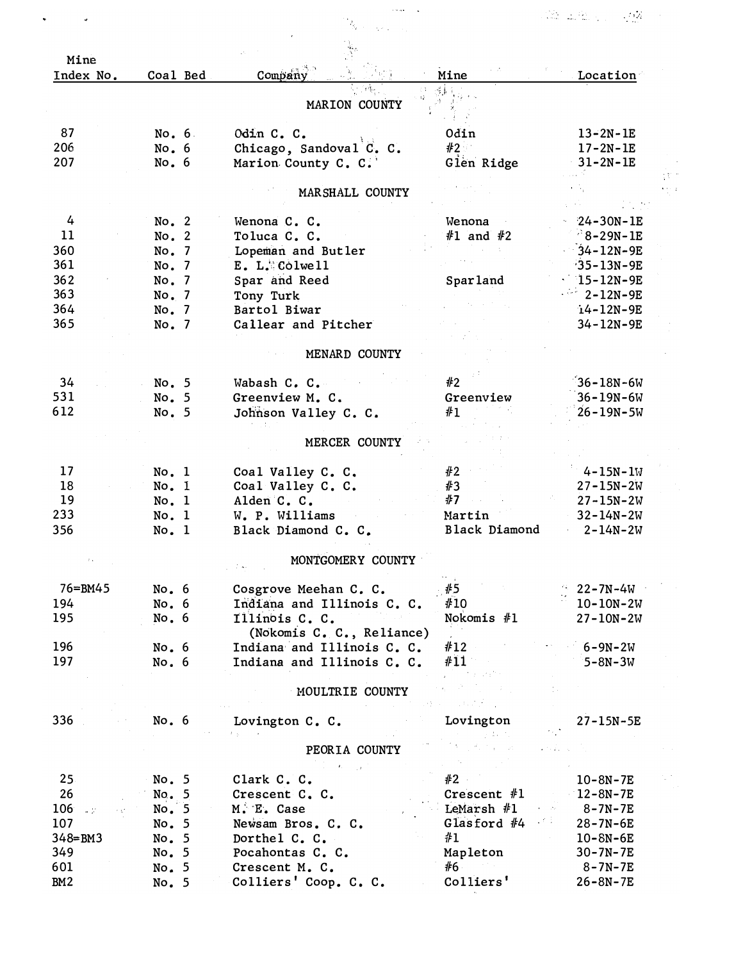|                   |          |                            |               | 125 - 126 - 12<br>$\sim 10^{11}$ |
|-------------------|----------|----------------------------|---------------|----------------------------------|
|                   |          |                            |               |                                  |
| Mine<br>Index No. | Coal Bed | Company                    | Mine          | Location                         |
|                   |          |                            | 44            |                                  |
|                   |          | MARION COUNTY              |               |                                  |
| 87                | No. 6    | Odin C. C.                 | 0din          | $13 - 2N - 1E$                   |
| 206               | No. 6    | Chicago, Sandoval C. C.    | #2            | $17 - 2N - 1E$                   |
| 207               | No.6     | Marion County C. C.        | Glen Ridge    | 31-2N-1E                         |
|                   |          |                            |               |                                  |
|                   |          | MARSHALL COUNTY            |               |                                  |
|                   |          |                            |               |                                  |
| 4                 | No. 2    | Wenona C. C.               | Wenona        | $24 - 30N - 1E$                  |
| 11                | No. 2    | Toluca C. C.               | $#1$ and $#2$ | $^{2}8 - 29N - 1E$               |
| 360               | No. 7    | Lopeman and Butler         |               | $34 - 12N - 9E$                  |
| 361               | No. 7    | $E. L.$ Colwell            |               | $35 - 13N - 9E$                  |
| 362               | No. 7    | Spar and Reed              | Sparland      | $15 - 12N - 9E$                  |
| 363               | No. 7    | Tony Turk                  |               | $2 - 12N - 9E$                   |
| 364               | No. 7    | Bartol Biwar               |               | $14 - 12N - 9E$                  |
| 365               | No. 7    | Callear and Pitcher        |               | 34-12N-9E                        |
|                   |          | MENARD COUNTY              |               |                                  |
|                   |          |                            |               |                                  |
| 34                | No. 5    | Wabash C. C.               | #2            | $36 - 18N - 6W$                  |
| 531               | No. 5    | Greenview M. C.            | Greenview     | $36 - 19N - 6W$                  |
| 612               | No. 5    | Johnson Valley C. C.       | #1            | $26 - 19N - 5W$                  |
|                   |          |                            |               |                                  |
|                   |          | MERCER COUNTY              |               |                                  |
|                   |          |                            |               |                                  |
| 17                | No. 1    | Coal Valley C. C.          | #2            | $4 - 15N - 1W$                   |
| 18                | No. 1    | Coal Valley C. C.          | #3            | $27 - 15N - 2W$                  |
| 19                | No. 1    | Alden C. C.                | #7            | $27 - 15N - 2W$                  |
| 233               | No. 1    | W. P. Williams             | Martin        | $32 - 14N - 2W$                  |
| 356               | No. 1    | Black Diamond C. C.        | Black Diamond | $2 - 14N - 2W$                   |
|                   |          | MONTGOMERY COUNTY          |               |                                  |
|                   |          |                            |               |                                  |
| 76=BM45           | No. $6$  | Cosgrove Meehan C. C.      | . #5          | $22 - 7N - 4W$                   |
| 194               | No. 6    | Indiana and Illinois C. C. | #10           | $10 - 10N - 2W$                  |
| 195               | No.6     | Illinois C. C.             | Nokomis $#1$  | $27 - 10N - 2W$                  |
|                   |          | (Nokomis C. C., Reliance)  |               |                                  |
| 196               | No.6     | Indiana and Illinois C. C. | #12           | $6 - 9N - 2W$                    |
| 197               | No. 6    | Indiana and Illinois C. C. | #11           | $5 - 8N - 3W$                    |
|                   |          |                            |               |                                  |
|                   |          | MOULTRIE COUNTY            |               |                                  |
|                   |          |                            |               |                                  |
| 336               | No.6     | Lovington C. C.            | Lovington     | 27-15N-5E                        |
|                   |          | PEORIA COUNTY              |               |                                  |
|                   |          |                            |               |                                  |
| 25 <sub>1</sub>   | No. 5    | Clark C. C.                | #2            | $10 - 8N - 7E$                   |
| 26                | No. 5    | Crescent C. C.             | Crescent $#1$ | $12 - 8N - 7E$                   |
| 106               | No. 5    | M. E. Case                 | LeMarsh $#1$  | 8-7N-7E                          |
| 107               | No. 5    | Newsam Bros. C. C.         | Glasford $#4$ | 28-7N-6E                         |
| $348 = BM3$       | No. 5    | Dorthel C. C.              | #1            | $10 - 8N - 6E$                   |
| 349               | No. 5    | Pocahontas C. C.           | Mapleton      | $30 - 7N - 7E$                   |
| 601               | No. 5    | Crescent M. C.             | #6            | $8 - 7N - 7E$                    |
| BM <sub>2</sub>   | No. 5    | Colliers' Coop. C. C.      | Colliers'     | $26 - 8N - 7E$                   |
|                   |          |                            |               |                                  |
|                   |          |                            |               |                                  |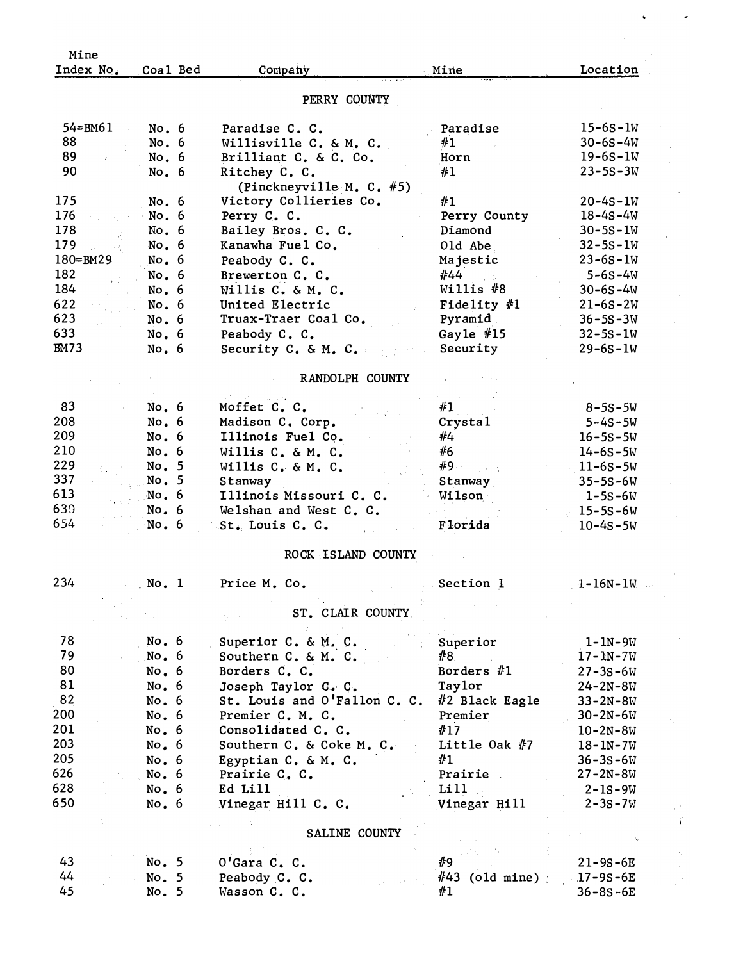| Mine        |          |                              |                         |                |
|-------------|----------|------------------------------|-------------------------|----------------|
| Index No.   | Coal Bed | Company                      | Mine                    | Location       |
|             |          | PERRY COUNTY                 |                         |                |
|             |          |                              |                         |                |
| $54 = BM61$ | No.6     | Paradise C. C.               | Paradise                | $15 - 6S - 1W$ |
| 88          | No. 6    | Willisville C. & M. C.       | #1                      | $30 - 6S - 4W$ |
| 89          | No. 6    | Brilliant C. & C. Co.        | Horn                    | $19 - 6S - 1W$ |
| 90          | No. 6    | Ritchey C. C.                | #1                      | $23 - 5S - 3W$ |
|             |          | (Pinckneyville M. C. #5)     |                         |                |
| 175         | No. 6    | Victory Collieries Co.       | #1                      | $20 - 4s - 1W$ |
| 176         | No. 6    | Perry C. C.                  | Perry County            | $18 - 4S - 4W$ |
| 178         | No. 6    | Bailey Bros. C. C.           | Diamond                 | $30 - 5S - 1W$ |
| 179         | No.6     | Kanawha Fuel Co.             | Old Abe                 | $32 - 5S - 1W$ |
| 180=BM29    | No. 6    | Peabody C. C.                | Majestic                | $23 - 65 - 1W$ |
| 182         | No. 6    | Brewerton C. C.              | #44                     | $5 - 6S - 4W$  |
| 184         | No.6     | Willis C. & M. C.            | Willis $#8$             | $30 - 6S - 4W$ |
| 622         | No. 6    | United Electric              | Fidelity $#1$           | $21 - 6S - 2W$ |
| 623         | No. 6    | Truax-Traer Coal Co.         | Pyramid                 | $36 - 5S - 3W$ |
| 633         | No. 6    | Peabody C. C.                | Gayle $#15$             | $32 - 5S - 1W$ |
| <b>BM73</b> | No.6     | Security C. & M. C.          | Security                | $29 - 6S - 1W$ |
|             |          |                              |                         |                |
|             |          | RANDOLPH COUNTY              |                         |                |
|             |          |                              |                         |                |
| 83          | No. 6    | Moffet C. C.                 | #1                      | $8 - 5S - 5W$  |
| 208         | No. 6    | Madison C. Corp.             | Crystal                 | $5 - 4S - 5W$  |
| 209         | No. 6    | Illinois Fuel Co.            | #4                      | $16 - 5S - 5W$ |
| 210         | No.6     | Willis C. & M. C.            | #6                      | $14 - 6S - 5W$ |
| 229         | No. 5    | Willis C. & M. C.            | #9<br>35.00             | $11 - 6S - 5W$ |
| 337         | No. 5    | Stanway                      | Stanway                 | $35 - 5S - 6W$ |
| 613         | No.6     | Illinois Missouri C. C.      | Wilson                  | $1 - 5S - 6W$  |
| 630         | No.6     | Welshan and West C. C.       |                         | $15 - 5S - 6W$ |
| 654         | No. 6    | St. Louis C. C.              | Florida                 | $10 - 4s - 5W$ |
|             |          | ROCK ISLAND COUNTY           |                         |                |
|             |          |                              |                         |                |
| 234         | No. 1    | Price M. Co.                 | Section 1               | $1 - 16N - 1W$ |
|             |          |                              |                         |                |
|             |          | ST. CLAIR COUNTY             |                         |                |
| 78          | No. 6    | Superior C. & M. C.          | Superior                | $1 - 1N - 9W$  |
| 79          | No. 6    | Southern C. & M. C.          | #8                      | $17 - 1N - 7W$ |
| 80          | No. 6    | Borders C. C.                | Borders #1              | $27 - 35 - 6W$ |
| 81          | No. 6    | Joseph Taylor C. C.          | Taylor                  | $24 - 2N - 8W$ |
| 82          | No. 6    | St. Louis and O'Fallon C. C. | #2 Black Eagle          | $33 - 2N - 8W$ |
| 200         | No. 6    | Premier C. M. C.             | Premier                 |                |
| 201         | No. 6    | Consolidated C. C.           | #17                     | $30 - 2N - 6W$ |
| 203         |          |                              |                         | $10 - 2N - 8W$ |
|             | No. 6    | Southern C. & Coke M. C.     | Little Oak $#7$         | $18 - 1N - 7W$ |
| 205         | No. 6    | Egyptian C. & M. C.          | #1                      | $36 - 35 - 6W$ |
| 626         | No.6     | Prairie C. C.                | Prairie                 | $27 - 2N - 8W$ |
| 628         | No. 6    | Ed Lill                      | Lill                    | $2 - 1S - 9W$  |
| 650         | No.6     | Vinegar Hill C. C.           | Vinegar Hill            | $2 - 3S - 7W$  |
|             |          | SALINE COUNTY                |                         |                |
|             |          |                              |                         |                |
| 43          | No. 5    |                              | #9                      |                |
| 44          |          | O'Gara C. C.                 |                         | $21 - 9S - 6E$ |
|             | No. 5    | Peabody C. C.                | #43<br>$($ old mine $)$ | $17 - 9S - 6E$ |
| 45          | No. 5    | Wasson C. C.                 | #1                      | $36 - 8S - 6E$ |

 $\hat{\mathbf{v}}$ 

 $\ddot{\phantom{1}}$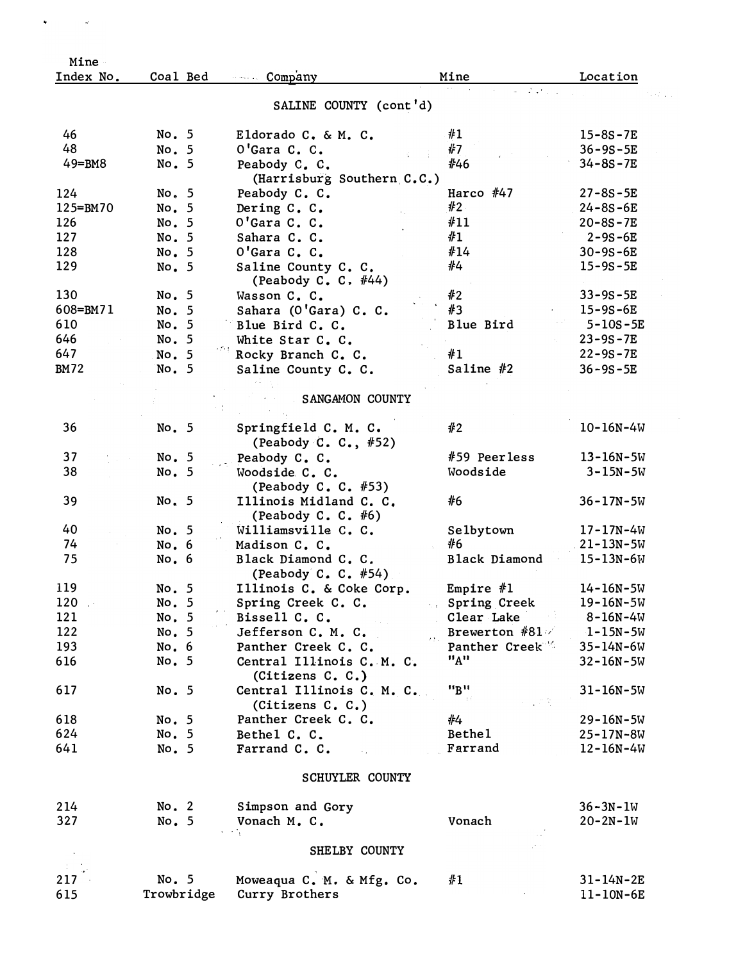| Mine                       |             |                                                 |                                                                     |                 |
|----------------------------|-------------|-------------------------------------------------|---------------------------------------------------------------------|-----------------|
| Index No.                  | Coal Bed    | Company                                         | Mine                                                                | Location        |
|                            |             | SALINE COUNTY (cont'd)                          | <b>SALE</b>                                                         |                 |
| 46                         | No. 5       | Eldorado C. & M. C.                             | #1                                                                  | $15 - 8S - 7E$  |
| 48                         | No. 5       | O'Gara C. C.                                    | ∦7                                                                  | $36 - 9S - 5E$  |
| $49 = BM8$                 | No. 5       | Peabody C. C.                                   | #46                                                                 | $34 - 8s - 7E$  |
|                            |             | (Harrisburg Southern C.C.)                      |                                                                     |                 |
| 124                        | No. 5       | Peabody C. C.                                   | Harco $#47$                                                         | $27 - 8S - 5E$  |
| 125=BM70                   | No. 5       | Dering C. C.                                    | #2                                                                  | $24 - 8S - 6E$  |
| 126                        | No. 5       | O'Gara C. C.                                    | #11                                                                 | $20 - 8S - 7E$  |
| 127                        | No. 5       | Sahara C. C.                                    | #1                                                                  | $2 - 9S - 6E$   |
| 128                        | No. 5       | O'Gara C. C.                                    | #14                                                                 | $30 - 9S - 6E$  |
| 129                        | No. 5       | Saline County C. C.                             | #4                                                                  | $15 - 9S - 5E$  |
|                            |             | (Peabody C. C. $#44)$                           |                                                                     |                 |
| 130                        | No. 5       | Wasson C. C.                                    | #2                                                                  | $33 - 9s - 5E$  |
| 608=BM71                   | No. 5       | Sahara (O'Gara) C. C.                           | #3                                                                  | $15 - 9S - 6E$  |
| 610                        | No. 5       | Blue Bird C. C.                                 | Blue Bird                                                           | $5 - 10S - 5E$  |
| 646                        | No. 5       | White Star C. C.                                |                                                                     | $23 - 9S - 7E$  |
| 647                        | 经理<br>No. 5 | Rocky Branch C. C.                              | #1                                                                  | $22 - 9S - 7E$  |
| <b>BM72</b>                | No. 5       | Saline County C. C.                             | Saline $#2$                                                         | $36 - 9S - 5E$  |
|                            |             | SANGAMON COUNTY                                 |                                                                     |                 |
| 36                         | No. 5       | Springfield C. M. C.                            | #2                                                                  | $10 - 16N - 4W$ |
|                            |             | (Peabody C. C., #52)                            |                                                                     |                 |
| 37                         | No. 5       | Peabody C. C.                                   | #59 Peerless                                                        | $13 - 16N - 5W$ |
| 38                         | No. 5       | Woodside C. C.                                  | Woodside                                                            | $3 - 15N - 5W$  |
|                            |             | (Peabody C. C. $#53$ )                          |                                                                     |                 |
| 39                         | No. 5       | Illinois Midland C. C.<br>(Peabody C. C. $#6$ ) | #6                                                                  | $36 - 17N - 5W$ |
| 40                         | No. 5       | Williamsville C. C.                             | Selbytown                                                           | $17 - 17N - 4W$ |
| 74                         | No.6        | Madison C. C.                                   | #6                                                                  | $21 - 13N - 5W$ |
| 75                         | No.6        | Black Diamond C. C.<br>(Peabody C. C. #54)      | Black Diamond                                                       | $15 - 13N - 6W$ |
| 119                        | No. 5       | Illinois C. & Coke Corp.                        | Empire $#1$                                                         | $14 - 16N - 5W$ |
| $120 -$                    | No. 5       | Spring Creek C. C.                              | Spring Creek                                                        | $19 - 16N - 5W$ |
| 121                        | No. 5       | Bissell C. C.                                   | Clear Lake                                                          | $8 - 16N - 4W$  |
| 122                        | No. 5       | Jefferson C. M. C.                              | Brewerton $#81$                                                     | $1 - 15N - 5W$  |
| 193                        | No. 6       | Panther Creek C. C.                             | $\mathbf{y}(\mathbf{v}_\mathrm{in})$<br>Panther Creek <sup>16</sup> | $35 - 14N - 6W$ |
| 616                        | No. 5       | Central Illinois C. M. C.                       | "A"                                                                 | $32 - 16N - 5W$ |
|                            |             | (Citizens C. C.)                                |                                                                     |                 |
| 617                        | No. 5       | Central Illinois C. M. C.<br>(Citizens C. C.)   | "B"                                                                 | $31 - 16N - 5W$ |
| 618                        | No. 5       | Panther Creek C. C.                             | #4                                                                  | $29 - 16N - 5W$ |
| 624                        | No. 5       | Bethel C. C.                                    | Bethe1                                                              | $25 - 17N - 8W$ |
| 641                        | No. 5       | Farrand C. C.                                   | Farrand                                                             | $12 - 16N - 4W$ |
|                            |             | SCHUYLER COUNTY                                 |                                                                     |                 |
|                            |             |                                                 |                                                                     |                 |
| 214                        | No. 2       | Simpson and Gory                                |                                                                     | $36 - 3N - 1W$  |
| 327                        | No. 5       | Vonach M. C.                                    | Vonach                                                              | $20 - 2N - 1W$  |
|                            |             | SHELBY COUNTY                                   |                                                                     |                 |
| $\sim 10^{-11}$<br>$217 -$ | No. 5       | Moweaqua C. M. & Mfg. Co.                       | #1                                                                  | $31 - 14N - 2E$ |
| 615                        | Trowbridge  | Curry Brothers                                  |                                                                     | $11 - 10N - 6E$ |
|                            |             |                                                 |                                                                     |                 |

 $\bullet$  (  $\sim$  ) and  $\bullet$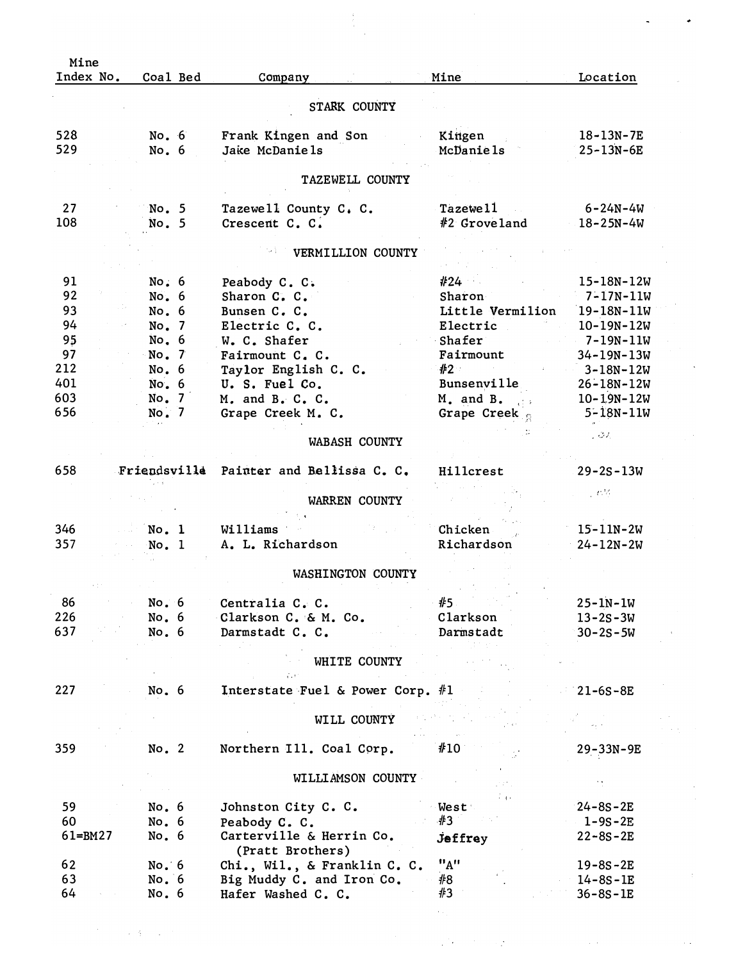| Mine        |                |          |                                         |                            |                                      |  |
|-------------|----------------|----------|-----------------------------------------|----------------------------|--------------------------------------|--|
| Index No.   |                | Coal Bed | Company                                 | Mine                       | Location                             |  |
|             |                |          |                                         |                            |                                      |  |
|             |                |          | STARK COUNTY                            |                            |                                      |  |
| 528         | No. 6          |          | Frank Kingen and Son                    | Kingen                     | $18 - 13N - 7E$                      |  |
| 529         | No.6           |          | Jake McDaniels                          | McDaniels                  | 25-13N-6E                            |  |
|             |                |          |                                         |                            |                                      |  |
|             |                |          | TAZEWELL COUNTY                         |                            |                                      |  |
| 27          | No. 5          |          | Tazewell County C. C.                   | Tazewe <sub>11</sub>       | $6 - 24N - 4W$                       |  |
| 108         | No. 5          |          | Crescent C. C.                          | #2 Groveland               | $18 - 25N - 4W$                      |  |
|             |                |          |                                         |                            |                                      |  |
|             |                |          | VERMILLION COUNTY                       |                            |                                      |  |
|             |                |          |                                         |                            |                                      |  |
| 91          | No.6           |          | Peabody C. C.                           | #24                        | 15-18N-12W                           |  |
| 92          | No. 6          |          | Sharon C. C.                            | Sharon<br>Little Vermilion | $7 - 17N - 11W$                      |  |
| 93<br>94    | No. 6          |          | Bunsen C. C.                            |                            | 19-18N-11W                           |  |
| 95          | No. 7<br>No. 6 |          | Electric C. C.<br>W. C. Shafer          | Electric<br>Shafer         | $10 - 19N - 12W$<br>$-7 - 19N - 11W$ |  |
| 97          | No. 7          |          | Fairmount C. C.                         | Fairmount                  | $34 - 19N - 13W$                     |  |
| 212         | No. 6          |          | Taylor English C. C.                    | #2                         | $3 - 18N - 12W$                      |  |
| 401         | No.6           |          | U. S. Fuel Co.                          | Bunsenville                | $26 - 18N - 12W$                     |  |
| 603         | No. 7          |          | M. and B. C. C.                         | M. and B.                  | $10 - 19N - 12W$                     |  |
| 656         | No. 7          |          | Grape Creek M. C.                       | t a<br>Grape Creek         | $5 - 18N - 11W$                      |  |
|             |                |          |                                         |                            |                                      |  |
|             |                |          | WABASH COUNTY                           |                            | - 04                                 |  |
|             |                |          |                                         |                            |                                      |  |
| 658         |                |          | Friendsville Painter and Bellissa C. C. | Hillcrest                  | $29 - 2S - 13W$                      |  |
|             |                |          | WARREN COUNTY                           |                            | yeta                                 |  |
|             |                |          |                                         |                            |                                      |  |
| 346         | No. 1          |          | Williams                                | Chicken                    | $15 - 11N - 2W$                      |  |
| 357         | No. 1          |          | A. L. Richardson                        | Richardson                 | $24 - 12N - 2W$                      |  |
|             |                |          |                                         |                            |                                      |  |
|             |                |          | WASHINGTON COUNTY                       |                            |                                      |  |
|             |                |          |                                         |                            |                                      |  |
| 86          | No.6           |          | Centralia C. C.                         | #5                         | $25 - 1N - 1W$                       |  |
| 226         | No. 6          |          | Clarkson C. & M. Co.                    | Clarkson                   | $13 - 2s - 3W$                       |  |
| 637         | No.6           |          | Darmstadt C. C.                         | Darmstadt                  | $30 - 2s - 5W$                       |  |
|             |                |          |                                         |                            |                                      |  |
|             |                |          | WHITE COUNTY                            |                            |                                      |  |
|             |                |          |                                         |                            |                                      |  |
| 227         | No. 6          |          | Interstate Fuel & Power Corp. $#1$      |                            | $21 - 6S - 8E$                       |  |
|             |                |          |                                         |                            |                                      |  |
|             |                |          | WILL COUNTY                             |                            |                                      |  |
| 359         | No. 2          |          | Northern Ill. Coal Corp.                | #10                        | 29-33N-9E                            |  |
|             |                |          |                                         |                            |                                      |  |
|             |                |          | WILLIAMSON COUNTY                       |                            |                                      |  |
|             |                |          |                                         | برزئ                       |                                      |  |
| 59          | No. 6          |          | Johnston City C. C.                     | West                       | $24 - 8S - 2E$                       |  |
| 60          | No. $6$        |          | Peabody C. C.                           | #3                         | $1 - 9S - 2E$                        |  |
| $61 = BM27$ | No. $6$        |          | Carterville & Herrin Co.                | <b><i>Jeffrey</i></b>      | $22 - 8S - 2E$                       |  |
|             |                |          | (Pratt Brothers)                        |                            |                                      |  |
| 62          | No.6           |          | Chi., Wil., & Franklin C. C.            | "A"                        | $19 - 8S - 2E$                       |  |
| 63          | No.6           |          | Big Muddy C. and Iron Co.               | #8<br>#3                   | $14 - 8S - 1E$                       |  |
| 64          | No. 6          |          | Hafer Washed C. C.                      |                            | $36 - 8S - 1E$                       |  |

 $\label{eq:2.1} \mathcal{O}(\frac{1}{\sqrt{2}}\log\left(\frac{1}{\sqrt{2}}\right) + \frac{1}{2}\log\left(\frac{1}{\sqrt{2}}\right) + \frac{1}{2}\log\left(\frac{1}{\sqrt{2}}\right)$ 

 $\epsilon_{\rm{max}}$ 

 $\label{eq:2} \frac{1}{2}\sum_{i=1}^n\sum_{j=1}^n\frac{1}{j!}\sum_{j=1}^n\sum_{j=1}^n\frac{1}{j!}\sum_{j=1}^n\sum_{j=1}^n\frac{1}{j!}\sum_{j=1}^n\frac{1}{j!}\sum_{j=1}^n\frac{1}{j!}\sum_{j=1}^n\frac{1}{j!}\sum_{j=1}^n\frac{1}{j!}\sum_{j=1}^n\frac{1}{j!}\sum_{j=1}^n\frac{1}{j!}\sum_{j=1}^n\frac{1}{j!}\sum_{j=1}^n\frac{1}{j!}\sum_{j$ 

 $\mathcal{L}^{\text{max}}_{\text{max}}$ 

 $\label{eq:2} \begin{array}{l} \mathcal{L}_{\mathcal{A}}(\mathcal{A}) \\ \mathcal{L}_{\mathcal{A}}(\mathcal{A}) \end{array}$ 

 $\langle \cdot | \cdot \rangle$ 

 $\overline{a}$  ,  $\overline{b}$